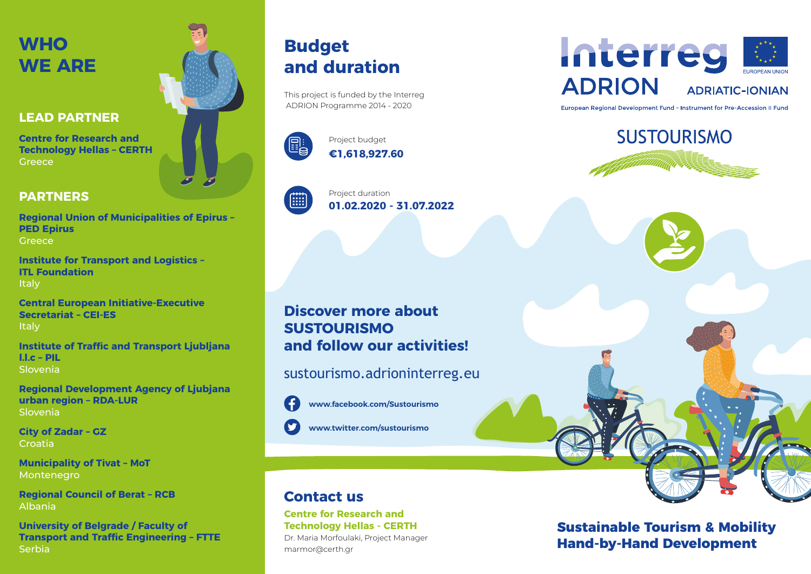## **WHO WE ARE**

### **LEAD PARTNER**

**Centre for Research and Technology Hellas – CERTH Greece** 

### **PARTNERS**

**Regional Union of Municipalities of Epirus – PED Epirus Greece** 

**Institute for Transport and Logistics – ITL Foundation Italy** 

**Central European Initiative-Executive Secretariat – CEI-ES Italy** 

**Institute of Traffic and Transport Ljubljana l.l.c – PIL** Slovenia

**Regional Development Agency of Ljubjana urban region – RDA-LUR** Slovenia

**City of Zadar – GZ** Croatia

**Municipality of Tivat – MoT** Montenegro

**Regional Council of Berat – RCB** Albania

**University of Belgrade / Faculty of Transport and Traffic Engineering – FTTE Serbia** 

## **Budget and duration**

This project is funded by the Interreg ADRION Programme 2014 - 2020



**€1,618,927.60** Project budget



**01.02.2020 - 31.07.2022** Project duration

### **Discover more about SUSTOURISMO and follow our activities!**

sustourismo.adrioninterreg.eu



**www.facebook.com/Sustourismo**

**www.twitter.com/sustourismo**

### **Contact us**

#### **Centre for Research and Technology Hellas - CERTH**

Dr. Maria Morfoulaki, Project Manager marmor@certh.gr



European Regional Development Fund - Instrument for Pre-Accession II Fund



**Sustainable Tourism & Mobility Hand-by-Hand Development**